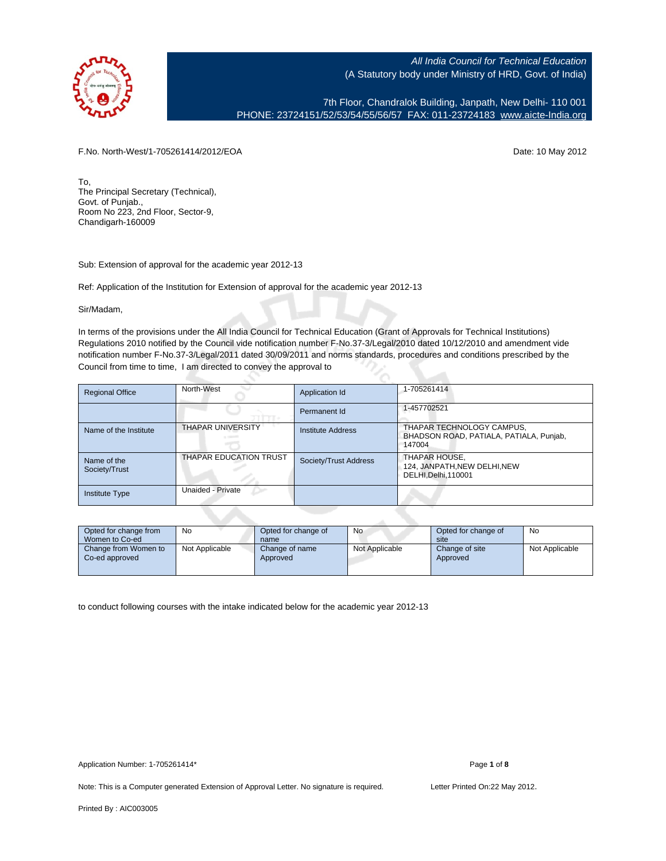

7th Floor, Chandralok Building, Janpath, New Delhi- 110 001 PHONE: 23724151/52/53/54/55/56/57 FAX: 011-23724183 [www.aicte-India.org](http://www.aicte-India.org)

F.No. North-West/1-705261414/2012/EOA Date: 10 May 2012

To, The Principal Secretary (Technical), Govt. of Punjab., Room No 223, 2nd Floor, Sector-9, Chandigarh-160009

Sub: Extension of approval for the academic year 2012-13

Ref: Application of the Institution for Extension of approval for the academic year 2012-13

Sir/Madam,

In terms of the provisions under the All India Council for Technical Education (Grant of Approvals for Technical Institutions) Regulations 2010 notified by the Council vide notification number F-No.37-3/Legal/2010 dated 10/12/2010 and amendment vide notification number F-No.37-3/Legal/2011 dated 30/09/2011 and norms standards, procedures and conditions prescribed by the Council from time to time, I am directed to convey the approval to

| <b>Regional Office</b>       | North-West                    | Application Id        | 1-705261414                                                                    |
|------------------------------|-------------------------------|-----------------------|--------------------------------------------------------------------------------|
|                              |                               | Permanent Id          | 1-457702521                                                                    |
| Name of the Institute        | <b>THAPAR UNIVERSITY</b>      | Institute Address     | THAPAR TECHNOLOGY CAMPUS,<br>BHADSON ROAD, PATIALA, PATIALA, Punjab,<br>147004 |
| Name of the<br>Society/Trust | <b>THAPAR EDUCATION TRUST</b> | Society/Trust Address | THAPAR HOUSE,<br>124, JANPATH, NEW DELHI, NEW<br>DELHI, Delhi, 110001          |
| <b>Institute Type</b>        | Unaided - Private             |                       |                                                                                |

| Opted for change from<br>Women to Co-ed | No             | Opted for change of<br>name | No             | Opted for change of<br>site | No             |
|-----------------------------------------|----------------|-----------------------------|----------------|-----------------------------|----------------|
| Change from Women to<br>Co-ed approved  | Not Applicable | Change of name<br>Approved  | Not Applicable | Change of site<br>Approved  | Not Applicable |

to conduct following courses with the intake indicated below for the academic year 2012-13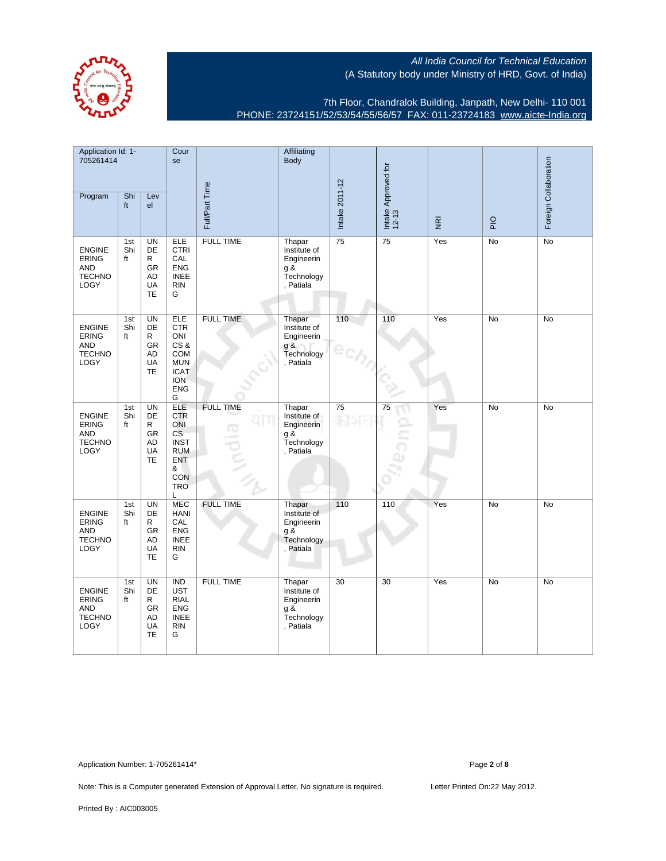

7th Floor, Chandralok Building, Janpath, New Delhi- 110 001 PHONE: 23724151/52/53/54/55/56/57 FAX: 011-23724183 [www.aicte-India.org](http://www.aicte-India.org)

| Application Id: 1-<br>705261414                                             |                  |                                                                          | Cour<br>se                                                                                                      |                              | Affiliating<br>Body                                                         |                |                              |                                     |                | Foreign Collaboration |
|-----------------------------------------------------------------------------|------------------|--------------------------------------------------------------------------|-----------------------------------------------------------------------------------------------------------------|------------------------------|-----------------------------------------------------------------------------|----------------|------------------------------|-------------------------------------|----------------|-----------------------|
| Program                                                                     | Shi<br>ft        | Lev<br>el                                                                |                                                                                                                 | Full/Part Time               |                                                                             | Intake 2011-12 | Intake Approved for<br>12-13 | $\overline{\underline{\mathbf{g}}}$ | $\overline{P}$ |                       |
| <b>ENGINE</b><br><b>ERING</b><br><b>AND</b><br><b>TECHNO</b><br>LOGY        | 1st<br>Shi<br>ft | <b>UN</b><br>DE<br>R<br><b>GR</b><br><b>AD</b><br>UA<br><b>TE</b>        | <b>ELE</b><br><b>CTRI</b><br>CAL<br><b>ENG</b><br><b>INEE</b><br><b>RIN</b><br>G                                | <b>FULL TIME</b>             | Thapar<br>Institute of<br>Engineerin<br>g &<br>Technology<br>, Patiala      | 75             | 75                           | Yes                                 | No             | <b>No</b>             |
| <b>ENGINE</b><br><b>ERING</b><br><b>AND</b><br><b>TECHNO</b><br>LOGY        | 1st<br>Shi<br>ft | <b>UN</b><br><b>DE</b><br>R<br>GR<br>AD<br>UA<br><b>TE</b>               | <b>ELE</b><br><b>CTR</b><br>ONI<br>CS&<br>COM<br><b>MUN</b><br><b>ICAT</b><br><b>ION</b><br><b>ENG</b><br>G     | <b>FULL TIME</b>             | Thapar<br>Institute of<br>Engineerin<br>g &<br>Technology<br>Patiala        | 110            | 110                          | Yes                                 | <b>No</b>      | <b>No</b>             |
| <b>ENGINE</b><br><b>ERING</b><br><b>AND</b><br><b>TECHNO</b><br>LOGY        | 1st<br>Shi<br>ft | <b>UN</b><br><b>DE</b><br>R<br><b>GR</b><br><b>AD</b><br>UA<br><b>TE</b> | <b>ELE</b><br><b>CTR</b><br>ONI<br><b>CS</b><br><b>INST</b><br><b>RUM</b><br>ENT<br>&<br>CON<br><b>TRO</b><br>Г | <b>FULL TIME</b><br><b>G</b> | Thapar<br>Institute of<br>Engineerin<br>g &<br>Technology<br>, Patiala      | 75             | 75                           | Yes                                 | No             | No                    |
| <b>ENGINE</b><br><b>ERING</b><br><b>AND</b><br><b>TECHNO</b><br><b>LOGY</b> | 1st<br>Shi<br>ft | <b>UN</b><br>DE<br>R<br><b>GR</b><br>AD<br>UA<br><b>TE</b>               | <b>MEC</b><br>HANI<br>CAL<br><b>ENG</b><br><b>INEE</b><br><b>RIN</b><br>G                                       | <b>FULL TIME</b>             | Thapar<br>Institute of<br>Engineerin<br>$g \times$<br>Technology<br>Patiala | 110            | 110                          | Yes                                 | No             | No                    |
| <b>ENGINE</b><br><b>ERING</b><br><b>AND</b><br><b>TECHNO</b><br>LOGY        | 1st<br>Shi<br>ft | <b>UN</b><br>DE<br>R<br>GR<br>AD<br><b>UA</b><br><b>TE</b>               | <b>IND</b><br><b>UST</b><br><b>RIAL</b><br><b>ENG</b><br><b>INEE</b><br><b>RIN</b><br>G                         | <b>FULL TIME</b>             | Thapar<br>Institute of<br>Engineerin<br>g &<br>Technology<br>, Patiala      | 30             | 30                           | Yes                                 | No             | <b>No</b>             |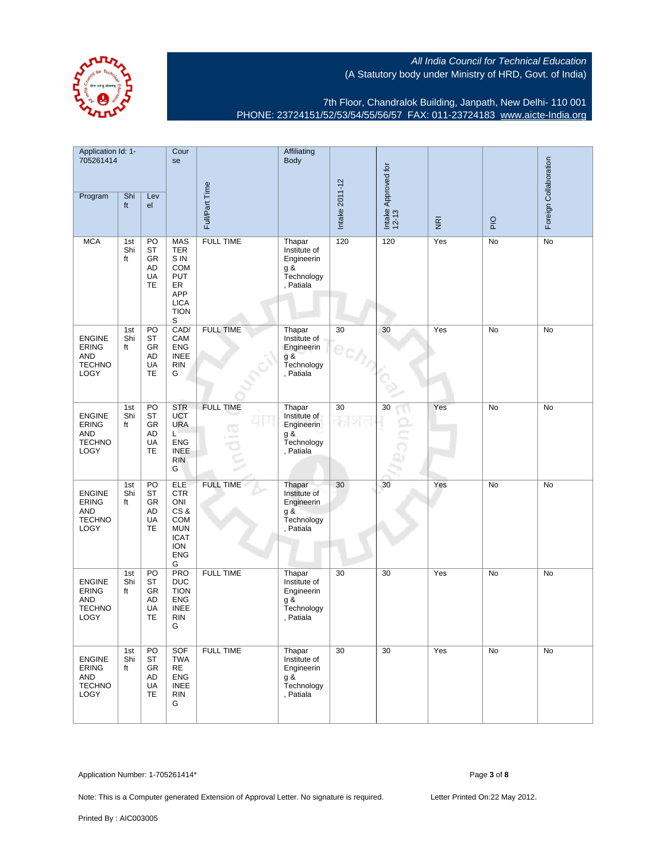

7th Floor, Chandralok Building, Janpath, New Delhi- 110 001 PHONE: 23724151/52/53/54/55/56/57 FAX: 011-23724183 [www.aicte-India.org](http://www.aicte-India.org)

| Application Id: 1-<br>705261414                                             |                  |                                                | Cour<br>se                                                                                                             |                              | Affiliating<br><b>Body</b>                                               |                |                              |                                     |     |                       |
|-----------------------------------------------------------------------------|------------------|------------------------------------------------|------------------------------------------------------------------------------------------------------------------------|------------------------------|--------------------------------------------------------------------------|----------------|------------------------------|-------------------------------------|-----|-----------------------|
| Program                                                                     | Shi<br>ft        | Lev<br>el                                      |                                                                                                                        | Full/Part Time               |                                                                          | Intake 2011-12 | Intake Approved for<br>12-13 | $\overline{\underline{\mathbf{g}}}$ | PIO | Foreign Collaboration |
| <b>MCA</b>                                                                  | 1st<br>Shi<br>ft | PO<br>ST<br>GR<br>AD<br>UA<br>TE               | <b>MAS</b><br><b>TER</b><br>S IN<br><b>COM</b><br><b>PUT</b><br>ER<br>APP<br><b>LICA</b><br><b>TION</b><br>$\mathbb S$ | <b>FULL TIME</b>             | Thapar<br>Institute of<br>Engineerin<br>$g$ &<br>Technology<br>, Patiala | 120            | 120                          | Yes                                 | No  | No                    |
| <b>ENGINE</b><br><b>ERING</b><br><b>AND</b><br><b>TECHNO</b><br><b>LOGY</b> | 1st<br>Shi<br>ft | PO<br>ST<br>GR<br>AD<br>UA<br><b>TE</b>        | CAD/<br>CAM<br><b>ENG</b><br><b>INEE</b><br><b>RIN</b><br>G                                                            | <b>FULL TIME</b>             | Thapar<br>Institute of<br>Engineerin<br>g &<br>Technology<br>, Patiala   | 30             | 30                           | Yes                                 | No  | No                    |
| <b>ENGINE</b><br><b>ERING</b><br><b>AND</b><br><b>TECHNO</b><br><b>LOGY</b> | 1st<br>Shi<br>ft | PO<br><b>ST</b><br>GR<br>AD<br>UA<br>TE        | <b>STR</b><br><b>UCT</b><br><b>URA</b><br>L<br>ENG<br><b>INEE</b><br><b>RIN</b><br>G                                   | <b>FULL TIME</b><br><b>G</b> | Thapar<br>Institute of<br>Engineerin<br>g &<br>Technology<br>, Patiala   | 30             | 30                           | Yes                                 | No  | No                    |
| <b>ENGINE</b><br><b>ERING</b><br><b>AND</b><br><b>TECHNO</b><br>LOGY        | 1st<br>Shi<br>ft | PO<br><b>ST</b><br>GR<br>AD<br>UA<br><b>TE</b> | <b>ELE</b><br><b>CTR</b><br>ONI<br>CS&<br><b>COM</b><br><b>MUN</b><br><b>ICAT</b><br><b>ION</b><br><b>ENG</b><br>G     | <b>FULL TIME</b>             | Thapar<br>Institute of<br>Engineerin<br>g &<br>Technology<br>, Patiala   | 30             | 30                           | Yes                                 | No  | No                    |
| <b>ENGINE</b><br><b>ERING</b><br><b>AND</b><br><b>TECHNO</b><br><b>LOGY</b> | 1st<br>Shi<br>ft | PO<br>ST<br>GR<br>AD<br>UA<br>TE               | <b>PRO</b><br><b>DUC</b><br><b>TION</b><br><b>ENG</b><br><b>INEE</b><br><b>RIN</b><br>G                                | <b>FULL TIME</b>             | Thapar<br>Institute of<br>Engineerin<br>g &<br>Technology<br>, Patiala   | 30             | 30                           | Yes                                 | No  | No                    |
| <b>ENGINE</b><br><b>ERING</b><br>AND<br><b>TECHNO</b><br><b>LOGY</b>        | 1st<br>Shi<br>ft | PO<br>ST<br>GR<br>AD<br>UA<br><b>TE</b>        | SOF<br><b>TWA</b><br>RE<br><b>ENG</b><br><b>INEE</b><br><b>RIN</b><br>G                                                | <b>FULL TIME</b>             | Thapar<br>Institute of<br>Engineerin<br>g &<br>Technology<br>, Patiala   | 30             | 30                           | Yes                                 | No  | No                    |

Application Number: 1-705261414\* Page **3** of **8**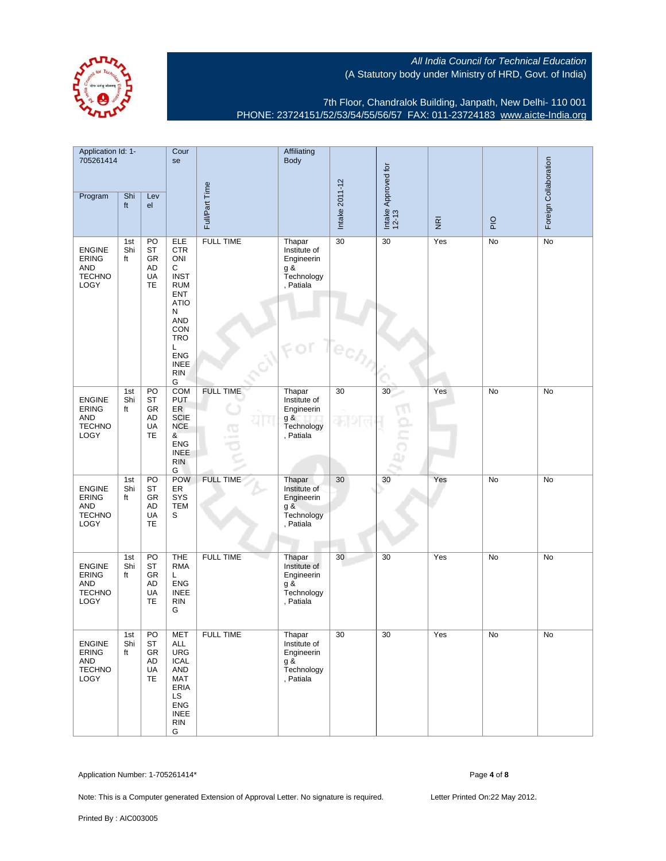

7th Floor, Chandralok Building, Janpath, New Delhi- 110 001 PHONE: 23724151/52/53/54/55/56/57 FAX: 011-23724183 [www.aicte-India.org](http://www.aicte-India.org)

| Application Id: 1-<br>705261414                                             |                  |                                               | Cour<br>se                                                                                                                                                                    |                  | Affiliating<br><b>Body</b>                                                |                |                              |                                     |     |                       |
|-----------------------------------------------------------------------------|------------------|-----------------------------------------------|-------------------------------------------------------------------------------------------------------------------------------------------------------------------------------|------------------|---------------------------------------------------------------------------|----------------|------------------------------|-------------------------------------|-----|-----------------------|
| Program                                                                     | Shi<br>ft        | Lev<br>el                                     |                                                                                                                                                                               | Full/Part Time   |                                                                           | Intake 2011-12 | Intake Approved for<br>12-13 | $\overline{\underline{\mathbf{g}}}$ | PIO | Foreign Collaboration |
| <b>ENGINE</b><br><b>ERING</b><br><b>AND</b><br><b>TECHNO</b><br><b>LOGY</b> | 1st<br>Shi<br>ft | PO<br>ST<br>GR<br>AD<br>UA<br>TE              | ELE<br><b>CTR</b><br>ONI<br>С<br><b>INST</b><br><b>RUM</b><br><b>ENT</b><br><b>ATIO</b><br>N<br>AND<br>CON<br><b>TRO</b><br>Г<br><b>ENG</b><br><b>INEE</b><br><b>RIN</b><br>G | <b>FULL TIME</b> | Thapar<br>Institute of<br>Engineerin<br>$g$ &<br>Technology<br>, Patiala  | 30             | 30                           | Yes                                 | No  | No                    |
| <b>ENGINE</b><br><b>ERING</b><br>AND<br><b>TECHNO</b><br><b>LOGY</b>        | 1st<br>Shi<br>ft | PO<br>ST<br>GR<br>AD<br>UA<br><b>TE</b>       | <b>COM</b><br><b>PUT</b><br>ER<br><b>SCIE</b><br><b>NCE</b><br>&<br><b>ENG</b><br><b>INEE</b><br><b>RIN</b><br>G                                                              | <b>FULL TIME</b> | Thapar<br>Institute of<br>Engineerin<br>$g$ &<br>Technology<br>, Patiala  | 30             | 30                           | Yes                                 | No  | No                    |
| <b>ENGINE</b><br>ERING<br><b>AND</b><br><b>TECHNO</b><br><b>LOGY</b>        | 1st<br>Shi<br>ft | PO<br>ST<br>GR<br>AD<br>UA<br><b>TE</b>       | <b>POW</b><br>ER<br>SYS<br><b>TEM</b><br>S                                                                                                                                    | <b>FULL TIME</b> | Thapar<br>Institute of<br>Engineerin<br>g &<br>Technology<br>, Patiala    | 30             | 30                           | Yes                                 | No  | No                    |
| <b>ENGINE</b><br><b>ERING</b><br><b>AND</b><br><b>TECHNO</b><br><b>LOGY</b> | 1st<br>Shi<br>ft | PO<br><b>ST</b><br>GR<br>AD<br>UA<br>TE       | <b>THE</b><br><b>RMA</b><br>L<br><b>ENG</b><br><b>INEE</b><br><b>RIN</b><br>G                                                                                                 | <b>FULL TIME</b> | Thapar<br>Institute of<br>Engineerin<br>g &<br>Technology<br>, Patiala    | 30             | 30                           | Yes                                 | No  | No                    |
| <b>ENGINE</b><br>ERING<br>AND<br><b>TECHNO</b><br>LOGY                      | 1st<br>Shi<br>ft | $\overline{PQ}$<br>ST<br>GR<br>AD<br>UA<br>TE | <b>MET</b><br><b>ALL</b><br><b>URG</b><br><b>ICAL</b><br>AND<br>MAT<br>ERIA<br>LS<br><b>ENG</b><br><b>INEE</b><br><b>RIN</b><br>G                                             | <b>FULL TIME</b> | Thapar<br>Institute of<br>Engineerin<br>$g \&$<br>Technology<br>, Patiala | 30             | 30                           | Yes                                 | No  | No                    |

Application Number: 1-705261414\* Page **4** of **8**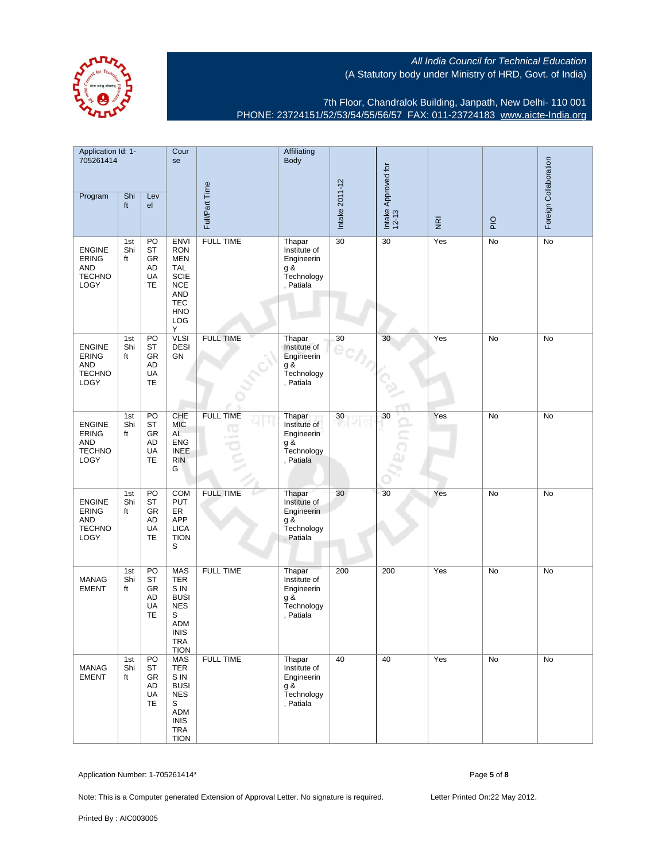

7th Floor, Chandralok Building, Janpath, New Delhi- 110 001 PHONE: 23724151/52/53/54/55/56/57 FAX: 011-23724183 [www.aicte-India.org](http://www.aicte-India.org)

| Application Id: 1-<br>705261414                                      |                  |                                         | Cour<br>se                                                                                                                               |                        | Affiliating<br><b>Body</b>                                                |                |                              |                         |               |                       |
|----------------------------------------------------------------------|------------------|-----------------------------------------|------------------------------------------------------------------------------------------------------------------------------------------|------------------------|---------------------------------------------------------------------------|----------------|------------------------------|-------------------------|---------------|-----------------------|
| Program                                                              | Shi<br>ft        | Lev<br>el                               |                                                                                                                                          | Full/Part Time         |                                                                           | Intake 2011-12 | Intake Approved for<br>12-13 | $\overline{\mathbf{g}}$ | $\frac{1}{2}$ | Foreign Collaboration |
| <b>ENGINE</b><br><b>ERING</b><br><b>AND</b><br><b>TECHNO</b><br>LOGY | 1st<br>Shi<br>ft | PO<br>ST<br>GR<br>AD<br>UA<br>TE        | <b>ENVI</b><br><b>RON</b><br><b>MEN</b><br><b>TAL</b><br><b>SCIE</b><br><b>NCE</b><br><b>AND</b><br><b>TEC</b><br><b>HNO</b><br>LOG<br>Y | <b>FULL TIME</b>       | Thapar<br>Institute of<br>Engineerin<br>g &<br>Technology<br>, Patiala    | 30             | 30                           | Yes                     | No            | No                    |
| <b>ENGINE</b><br><b>ERING</b><br>AND<br><b>TECHNO</b><br><b>LOGY</b> | 1st<br>Shi<br>ft | PO<br>ST<br>GR<br>AD<br>UA<br>TE        | <b>VLSI</b><br><b>DESI</b><br>GN                                                                                                         | <b>FULL TIME</b>       | Thapar<br>Institute of<br>Engineerin<br>g &<br>Technology<br>, Patiala    | 30             | 30                           | Yes                     | No            | No                    |
| <b>ENGINE</b><br><b>ERING</b><br>AND<br><b>TECHNO</b><br><b>LOGY</b> | 1st<br>Shi<br>ft | PO<br>ST<br>GR<br>AD<br>UA<br>TE        | CHE<br><b>MIC</b><br>AL<br><b>ENG</b><br><b>INEE</b><br><b>RIN</b><br>G                                                                  | <b>FULL TIME</b><br>40 | Thapar<br>Institute of<br>Engineerin<br>$g \&$<br>Technology<br>, Patiala | 30             | 30                           | Yes                     | No            | No                    |
| <b>ENGINE</b><br><b>ERING</b><br>AND<br><b>TECHNO</b><br><b>LOGY</b> | 1st<br>Shi<br>ft | PO<br>ST<br>GR<br>AD<br>UA<br>TE        | COM<br><b>PUT</b><br>ER<br>APP<br><b>LICA</b><br><b>TION</b><br>S                                                                        | <b>FULL TIME</b>       | Thapar<br>Institute of<br>Engineerin<br>g &<br>Technology<br>, Patiala    | 30             | 30                           | Yes                     | No            | No                    |
| <b>MANAG</b><br><b>EMENT</b>                                         | 1st<br>Shi<br>ft | PO<br><b>ST</b><br>GR<br>AD<br>UA<br>TE | <b>MAS</b><br><b>TER</b><br>S IN<br><b>BUSI</b><br><b>NES</b><br>S<br>ADM<br><b>INIS</b><br><b>TRA</b><br><b>TION</b>                    | <b>FULL TIME</b>       | Thapar<br>Institute of<br>Engineerin<br>g &<br>Technology<br>, Patiala    | 200            | 200                          | Yes                     | No            | No                    |
| <b>MANAG</b><br><b>EMENT</b>                                         | 1st<br>Shi<br>ft | PO<br><b>ST</b><br>GR<br>AD<br>UA<br>TE | <b>MAS</b><br><b>TER</b><br>S IN<br><b>BUSI</b><br><b>NES</b><br>S<br>ADM<br><b>INIS</b><br><b>TRA</b><br><b>TION</b>                    | <b>FULL TIME</b>       | Thapar<br>Institute of<br>Engineerin<br>g &<br>Technology<br>. Patiala    | 40             | 40                           | Yes                     | No            | No                    |

Application Number: 1-705261414\* Page **5** of **8**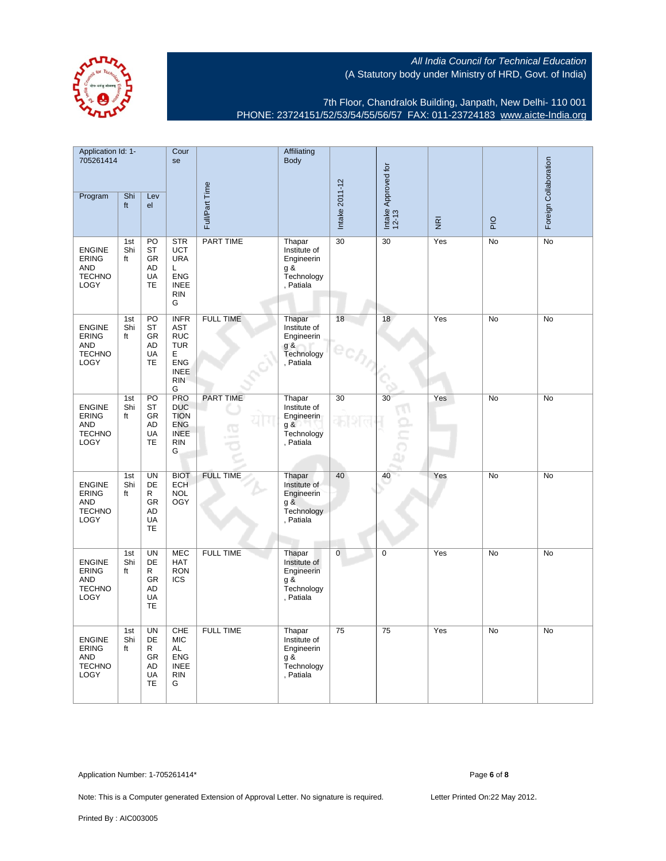

7th Floor, Chandralok Building, Janpath, New Delhi- 110 001 PHONE: 23724151/52/53/54/55/56/57 FAX: 011-23724183 [www.aicte-India.org](http://www.aicte-India.org)

| Application Id: 1-<br>705261414                                             |                  |                                                            | Cour<br>se                                                                                          |                  | Affiliating<br>Body                                                    |                |                              |                         |     |                       |
|-----------------------------------------------------------------------------|------------------|------------------------------------------------------------|-----------------------------------------------------------------------------------------------------|------------------|------------------------------------------------------------------------|----------------|------------------------------|-------------------------|-----|-----------------------|
| Program                                                                     | Shi<br>ft        | Lev<br>el                                                  |                                                                                                     | Full/Part Time   |                                                                        | Intake 2011-12 | Intake Approved for<br>12-13 | $\overline{\mathbf{g}}$ | PIO | Foreign Collaboration |
| <b>ENGINE</b><br><b>ERING</b><br><b>AND</b><br><b>TECHNO</b><br>LOGY        | 1st<br>Shi<br>ft | PO<br>ST<br><b>GR</b><br>AD<br><b>UA</b><br>TE             | <b>STR</b><br><b>UCT</b><br><b>URA</b><br>L<br><b>ENG</b><br><b>INEE</b><br><b>RIN</b><br>G         | PART TIME        | Thapar<br>Institute of<br>Engineerin<br>g &<br>Technology<br>, Patiala | 30             | 30                           | Yes                     | No  | No                    |
| <b>ENGINE</b><br><b>ERING</b><br><b>AND</b><br><b>TECHNO</b><br>LOGY        | 1st<br>Shi<br>ft | PO<br><b>ST</b><br>GR<br><b>AD</b><br>UA<br><b>TE</b>      | <b>INFR</b><br>AST<br><b>RUC</b><br><b>TUR</b><br>E<br><b>ENG</b><br><b>INEE</b><br><b>RIN</b><br>G | <b>FULL TIME</b> | Thapar<br>Institute of<br>Engineerin<br>$g$ &<br>Technology<br>Patiala | 18             | 18                           | Yes                     | No  | No                    |
| <b>ENGINE</b><br><b>ERING</b><br><b>AND</b><br><b>TECHNO</b><br><b>LOGY</b> | 1st<br>Shi<br>ft | PO<br><b>ST</b><br>GR<br>AD<br>UA<br>TE                    | <b>PRO</b><br><b>DUC</b><br><b>TION</b><br><b>ENG</b><br><b>INEE</b><br><b>RIN</b><br>G             | <b>PART TIME</b> | Thapar<br>Institute of<br>Engineerin<br>g &<br>Technology<br>, Patiala | 30             | 30                           | Yes                     | No  | No                    |
| <b>ENGINE</b><br><b>ERING</b><br><b>AND</b><br><b>TECHNO</b><br>LOGY        | 1st<br>Shi<br>ft | <b>UN</b><br>DE<br>R<br><b>GR</b><br>AD<br>UA<br><b>TE</b> | <b>BIOT</b><br><b>ECH</b><br><b>NOL</b><br><b>OGY</b>                                               | <b>FULL TIME</b> | Thapar<br>Institute of<br>Engineerin<br>g &<br>Technology<br>, Patiala | 40             | 40                           | Yes                     | No  | No                    |
| <b>ENGINE</b><br><b>ERING</b><br><b>AND</b><br><b>TECHNO</b><br>LOGY        | 1st<br>Shi<br>ft | <b>UN</b><br>DE<br>R<br><b>GR</b><br>AD<br>UA<br><b>TE</b> | <b>MEC</b><br><b>HAT</b><br><b>RON</b><br><b>ICS</b>                                                | <b>FULL TIME</b> | Thapar<br>Institute of<br>Engineerin<br>g &<br>Technology<br>, Patiala | 0              | $\mathbf 0$                  | Yes                     | No  | No                    |
| <b>ENGINE</b><br><b>ERING</b><br><b>AND</b><br><b>TECHNO</b><br>LOGY        | 1st<br>Shi<br>ft | UN<br><b>DE</b><br>R<br><b>GR</b><br>AD<br>UA<br><b>TE</b> | CHE<br><b>MIC</b><br>AL<br><b>ENG</b><br><b>INEE</b><br><b>RIN</b><br>G                             | <b>FULL TIME</b> | Thapar<br>Institute of<br>Engineerin<br>q&<br>Technology<br>, Patiala  | 75             | 75                           | Yes                     | No  | No                    |

Application Number: 1-705261414\* Page **6** of **8**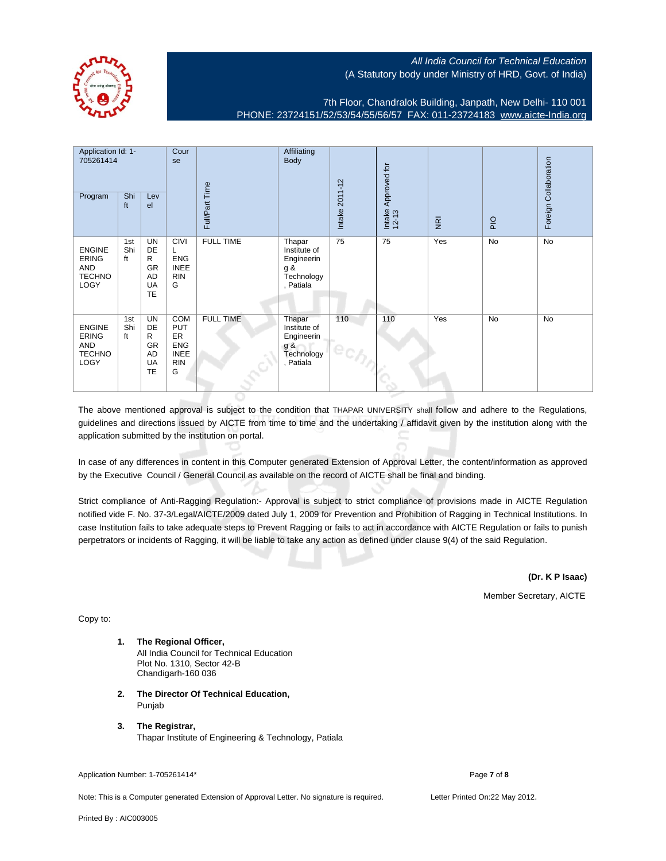

7th Floor, Chandralok Building, Janpath, New Delhi- 110 001 PHONE: 23724151/52/53/54/55/56/57 FAX: 011-23724183 [www.aicte-India.org](http://www.aicte-India.org)

| Application Id: 1-<br>705261414<br>Program                    | Shi<br>ft        | Lev<br>el                                                                | Cour<br>se                                                              | Full/Part Time   | Affiliating<br>Body                                                    | Intake 2011-12 | Approved for<br>Intake<br>12-13 | $\overline{\underline{\mathbf{g}}}$ | PIO | Foreign Collaboration |
|---------------------------------------------------------------|------------------|--------------------------------------------------------------------------|-------------------------------------------------------------------------|------------------|------------------------------------------------------------------------|----------------|---------------------------------|-------------------------------------|-----|-----------------------|
| <b>ENGINE</b><br><b>ERING</b><br>AND<br><b>TECHNO</b><br>LOGY | 1st<br>Shi<br>ft | <b>UN</b><br><b>DE</b><br>R<br>GR<br><b>AD</b><br><b>UA</b><br><b>TE</b> | <b>CIVI</b><br>L<br><b>ENG</b><br><b>INEE</b><br><b>RIN</b><br>G        | <b>FULL TIME</b> | Thapar<br>Institute of<br>Engineerin<br>g &<br>Technology<br>, Patiala | 75             | 75                              | Yes                                 | No  | No                    |
| <b>ENGINE</b><br><b>ERING</b><br>AND<br><b>TECHNO</b><br>LOGY | 1st<br>Shi<br>ft | <b>UN</b><br>DE<br>R<br><b>GR</b><br>AD<br>UA<br><b>TE</b>               | COM<br><b>PUT</b><br>ER<br><b>ENG</b><br><b>INEE</b><br><b>RIN</b><br>G | <b>FULL TIME</b> | Thapar<br>Institute of<br>Engineerin<br>g &<br>Technology<br>, Patiala | 110            | 110                             | Yes                                 | No  | No                    |

The above mentioned approval is subject to the condition that THAPAR UNIVERSITY shall follow and adhere to the Regulations, guidelines and directions issued by AICTE from time to time and the undertaking / affidavit given by the institution along with the application submitted by the institution on portal.

In case of any differences in content in this Computer generated Extension of Approval Letter, the content/information as approved by the Executive Council / General Council as available on the record of AICTE shall be final and binding.

Strict compliance of Anti-Ragging Regulation:- Approval is subject to strict compliance of provisions made in AICTE Regulation notified vide F. No. 37-3/Legal/AICTE/2009 dated July 1, 2009 for Prevention and Prohibition of Ragging in Technical Institutions. In case Institution fails to take adequate steps to Prevent Ragging or fails to act in accordance with AICTE Regulation or fails to punish perpetrators or incidents of Ragging, it will be liable to take any action as defined under clause 9(4) of the said Regulation.

**(Dr. K P Isaac)**

Member Secretary, AICTE

Copy to:

- **1. The Regional Officer,** All India Council for Technical Education Plot No. 1310, Sector 42-B Chandigarh-160 036
- **2. The Director Of Technical Education,** Punjab
- **3. The Registrar,** Thapar Institute of Engineering & Technology, Patiala

Application Number: 1-705261414\* Page **7** of **8** Page **7** of **8** 

Note: This is a Computer generated Extension of Approval Letter. No signature is required. Letter Printed On:22 May 2012.

Printed By : AIC003005